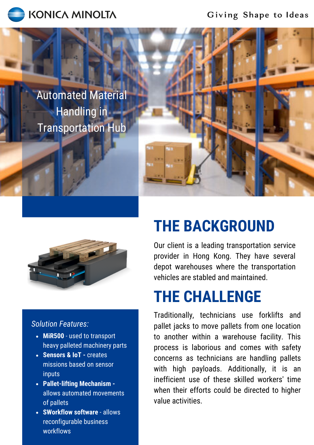

Giving Shape to Ideas

Automated Material Handling in Transportation Hub



### *Solution Features:*

- **MiR500** used to transport heavy palleted machinery parts
- **Sensors & IoT -** creates missions based on sensor inputs
- **Pallet-lifting Mechanism**  allows automated movements of pallets
- **SWorkflow software** allows reconfigurable business workflows

# **THE BACKGROUND**

Our client is a leading transportation service provider in Hong Kong. They have several depot warehouses where the transportation vehicles are stabled and maintained.

# **THE CHALLENGE**

Traditionally, technicians use forklifts and pallet jacks to move pallets from one location to another within a warehouse facility. This process is laborious and comes with safety concerns as technicians are handling pallets with high payloads. Additionally, it is an inefficient use of these skilled workers' time when their efforts could be directed to higher value activities.